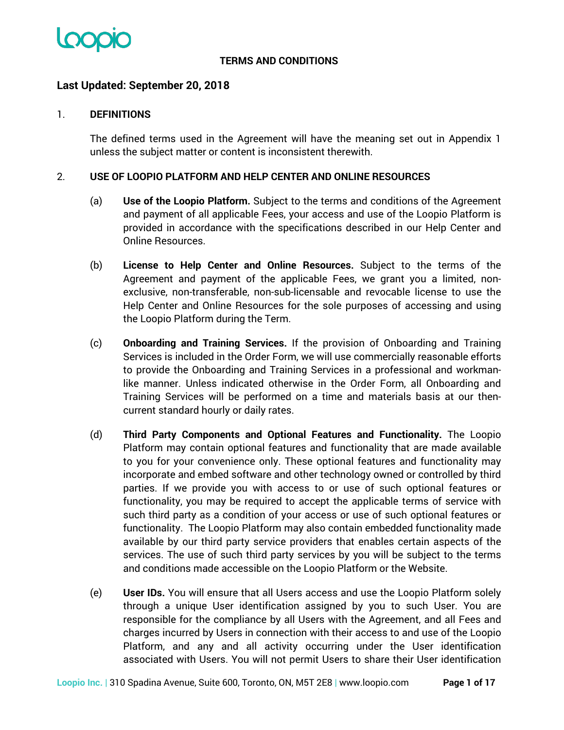

## **TERMS AND CONDITIONS**

## **Last Updated: September 20, 2018**

#### 1. **DEFINITIONS**

The defined terms used in the Agreement will have the meaning set out in Appendix 1 unless the subject matter or content is inconsistent therewith.

#### 2. **USE OF LOOPIO PLATFORM AND HELP CENTER AND ONLINE RESOURCES**

- (a) **Use of the Loopio Platform.** Subject to the terms and conditions of the Agreement and payment of all applicable Fees, your access and use of the Loopio Platform is provided in accordance with the specifications described in our Help Center and Online Resources.
- (b) **License to Help Center and Online Resources.** Subject to the terms of the Agreement and payment of the applicable Fees, we grant you a limited, nonexclusive, non-transferable, non-sub-licensable and revocable license to use the Help Center and Online Resources for the sole purposes of accessing and using the Loopio Platform during the Term.
- (c) **Onboarding and Training Services.** If the provision of Onboarding and Training Services is included in the Order Form, we will use commercially reasonable efforts to provide the Onboarding and Training Services in a professional and workmanlike manner. Unless indicated otherwise in the Order Form, all Onboarding and Training Services will be performed on a time and materials basis at our thencurrent standard hourly or daily rates.
- (d) **Third Party Components and Optional Features and Functionality.** The Loopio Platform may contain optional features and functionality that are made available to you for your convenience only. These optional features and functionality may incorporate and embed software and other technology owned or controlled by third parties. If we provide you with access to or use of such optional features or functionality, you may be required to accept the applicable terms of service with such third party as a condition of your access or use of such optional features or functionality. The Loopio Platform may also contain embedded functionality made available by our third party service providers that enables certain aspects of the services. The use of such third party services by you will be subject to the terms and conditions made accessible on the Loopio Platform or the Website.
- (e) **User IDs.** You will ensure that all Users access and use the Loopio Platform solely through a unique User identification assigned by you to such User. You are responsible for the compliance by all Users with the Agreement, and all Fees and charges incurred by Users in connection with their access to and use of the Loopio Platform, and any and all activity occurring under the User identification associated with Users. You will not permit Users to share their User identification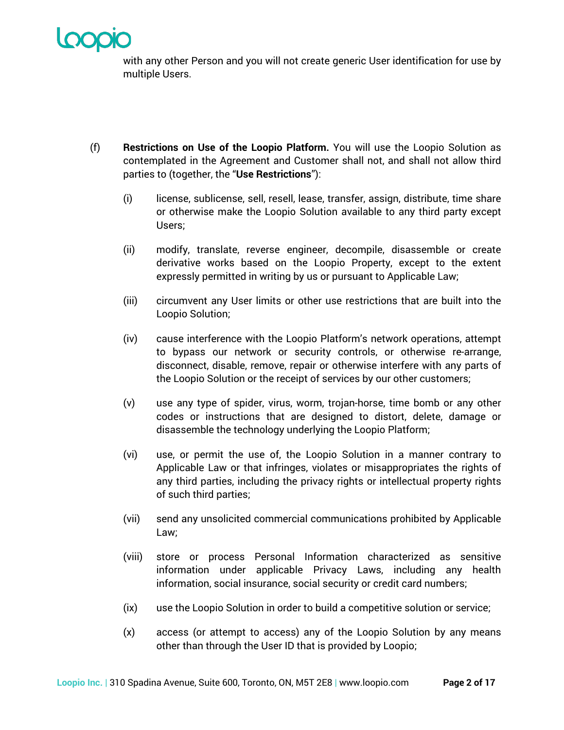

with any other Person and you will not create generic User identification for use by multiple Users.

- (f) **Restrictions on Use of the Loopio Platform.** You will use the Loopio Solution as contemplated in the Agreement and Customer shall not, and shall not allow third parties to (together, the "**Use Restrictions**"):
	- (i) license, sublicense, sell, resell, lease, transfer, assign, distribute, time share or otherwise make the Loopio Solution available to any third party except Users;
	- (ii) modify, translate, reverse engineer, decompile, disassemble or create derivative works based on the Loopio Property, except to the extent expressly permitted in writing by us or pursuant to Applicable Law;
	- (iii) circumvent any User limits or other use restrictions that are built into the Loopio Solution;
	- (iv) cause interference with the Loopio Platform's network operations, attempt to bypass our network or security controls, or otherwise re-arrange, disconnect, disable, remove, repair or otherwise interfere with any parts of the Loopio Solution or the receipt of services by our other customers;
	- (v) use any type of spider, virus, worm, trojan-horse, time bomb or any other codes or instructions that are designed to distort, delete, damage or disassemble the technology underlying the Loopio Platform;
	- (vi) use, or permit the use of, the Loopio Solution in a manner contrary to Applicable Law or that infringes, violates or misappropriates the rights of any third parties, including the privacy rights or intellectual property rights of such third parties;
	- (vii) send any unsolicited commercial communications prohibited by Applicable Law;
	- (viii) store or process Personal Information characterized as sensitive information under applicable Privacy Laws, including any health information, social insurance, social security or credit card numbers;
	- (ix) use the Loopio Solution in order to build a competitive solution or service;
	- (x) access (or attempt to access) any of the Loopio Solution by any means other than through the User ID that is provided by Loopio;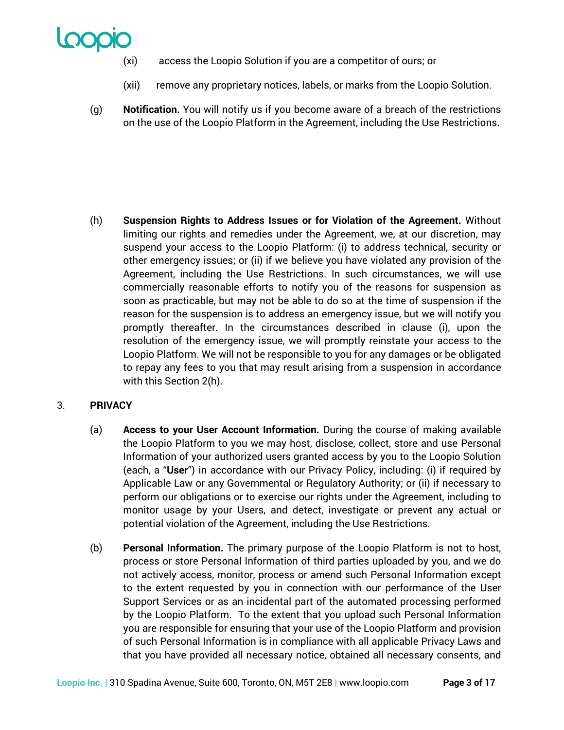

- (xi) access the Loopio Solution if you are a competitor of ours; or
- (xii) remove any proprietary notices, labels, or marks from the Loopio Solution.
- (g) **Notification.** You will notify us if you become aware of a breach of the restrictions on the use of the Loopio Platform in the Agreement, including the Use Restrictions.

(h) **Suspension Rights to Address Issues or for Violation of the Agreement.** Without limiting our rights and remedies under the Agreement, we, at our discretion, may suspend your access to the Loopio Platform: (i) to address technical, security or other emergency issues; or (ii) if we believe you have violated any provision of the Agreement, including the Use Restrictions. In such circumstances, we will use commercially reasonable efforts to notify you of the reasons for suspension as soon as practicable, but may not be able to do so at the time of suspension if the reason for the suspension is to address an emergency issue, but we will notify you promptly thereafter. In the circumstances described in clause (i), upon the resolution of the emergency issue, we will promptly reinstate your access to the Loopio Platform. We will not be responsible to you for any damages or be obligated to repay any fees to you that may result arising from a suspension in accordance with this Section 2(h).

## 3. **PRIVACY**

- (a) **Access to your User Account Information.** During the course of making available the Loopio Platform to you we may host, disclose, collect, store and use Personal Information of your authorized users granted access by you to the Loopio Solution (each, a "**User**") in accordance with our Privacy Policy, including: (i) if required by Applicable Law or any Governmental or Regulatory Authority; or (ii) if necessary to perform our obligations or to exercise our rights under the Agreement, including to monitor usage by your Users, and detect, investigate or prevent any actual or potential violation of the Agreement, including the Use Restrictions.
- (b) **Personal Information.** The primary purpose of the Loopio Platform is not to host, process or store Personal Information of third parties uploaded by you, and we do not actively access, monitor, process or amend such Personal Information except to the extent requested by you in connection with our performance of the User Support Services or as an incidental part of the automated processing performed by the Loopio Platform. To the extent that you upload such Personal Information you are responsible for ensuring that your use of the Loopio Platform and provision of such Personal Information is in compliance with all applicable Privacy Laws and that you have provided all necessary notice, obtained all necessary consents, and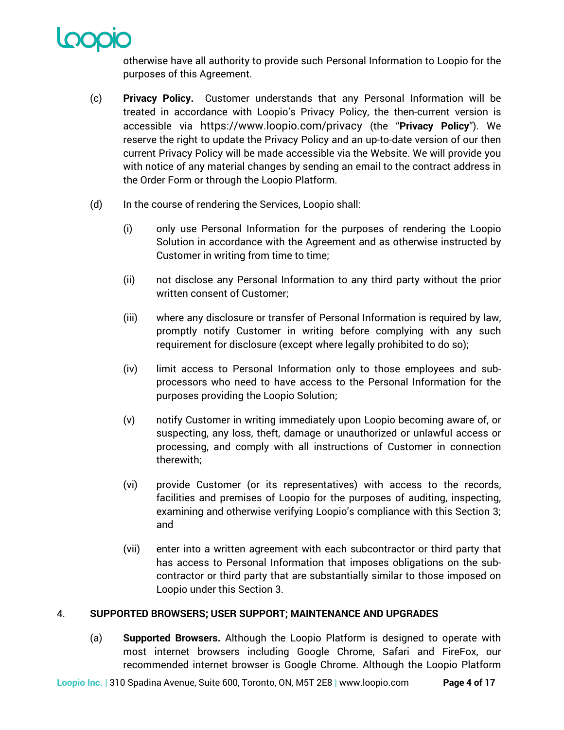

otherwise have all authority to provide such Personal Information to Loopio for the purposes of this Agreement.

- (c) **Privacy Policy.** Customer understands that any Personal Information will be treated in accordance with Loopio's Privacy Policy, the then-current version is accessible via https://www.loopio.com/privacy (the "**Privacy Policy**"). We reserve the right to update the Privacy Policy and an up-to-date version of our then current Privacy Policy will be made accessible via the Website. We will provide you with notice of any material changes by sending an email to the contract address in the Order Form or through the Loopio Platform.
- (d) In the course of rendering the Services, Loopio shall:
	- (i) only use Personal Information for the purposes of rendering the Loopio Solution in accordance with the Agreement and as otherwise instructed by Customer in writing from time to time;
	- (ii) not disclose any Personal Information to any third party without the prior written consent of Customer;
	- (iii) where any disclosure or transfer of Personal Information is required by law, promptly notify Customer in writing before complying with any such requirement for disclosure (except where legally prohibited to do so);
	- (iv) limit access to Personal Information only to those employees and subprocessors who need to have access to the Personal Information for the purposes providing the Loopio Solution;
	- (v) notify Customer in writing immediately upon Loopio becoming aware of, or suspecting, any loss, theft, damage or unauthorized or unlawful access or processing, and comply with all instructions of Customer in connection therewith;
	- (vi) provide Customer (or its representatives) with access to the records, facilities and premises of Loopio for the purposes of auditing, inspecting, examining and otherwise verifying Loopio's compliance with this Section 3; and
	- (vii) enter into a written agreement with each subcontractor or third party that has access to Personal Information that imposes obligations on the subcontractor or third party that are substantially similar to those imposed on Loopio under this Section 3.

## 4. **SUPPORTED BROWSERS; USER SUPPORT; MAINTENANCE AND UPGRADES**

(a) **Supported Browsers.** Although the Loopio Platform is designed to operate with most internet browsers including Google Chrome, Safari and FireFox, our recommended internet browser is Google Chrome. Although the Loopio Platform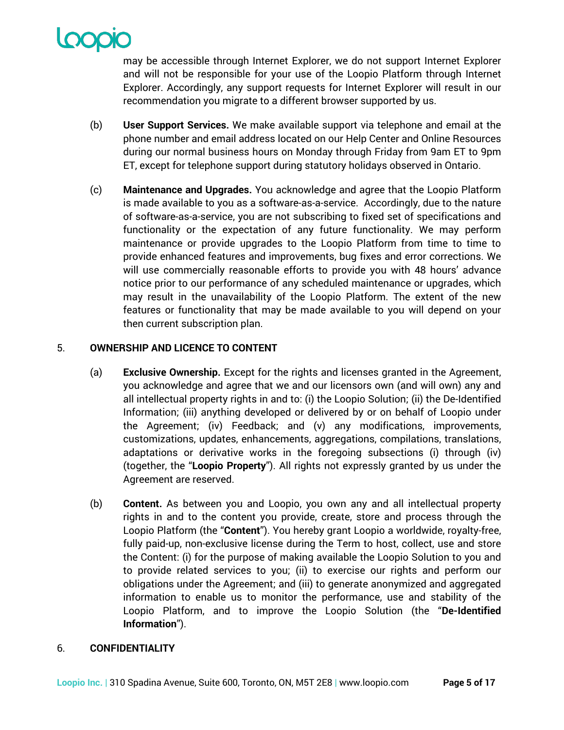

may be accessible through Internet Explorer, we do not support Internet Explorer and will not be responsible for your use of the Loopio Platform through Internet Explorer. Accordingly, any support requests for Internet Explorer will result in our recommendation you migrate to a different browser supported by us.

- (b) **User Support Services.** We make available support via telephone and email at the phone number and email address located on our Help Center and Online Resources during our normal business hours on Monday through Friday from 9am ET to 9pm ET, except for telephone support during statutory holidays observed in Ontario.
- (c) **Maintenance and Upgrades.** You acknowledge and agree that the Loopio Platform is made available to you as a software-as-a-service. Accordingly, due to the nature of software-as-a-service, you are not subscribing to fixed set of specifications and functionality or the expectation of any future functionality. We may perform maintenance or provide upgrades to the Loopio Platform from time to time to provide enhanced features and improvements, bug fixes and error corrections. We will use commercially reasonable efforts to provide you with 48 hours' advance notice prior to our performance of any scheduled maintenance or upgrades, which may result in the unavailability of the Loopio Platform. The extent of the new features or functionality that may be made available to you will depend on your then current subscription plan.

## 5. **OWNERSHIP AND LICENCE TO CONTENT**

- (a) **Exclusive Ownership.** Except for the rights and licenses granted in the Agreement, you acknowledge and agree that we and our licensors own (and will own) any and all intellectual property rights in and to: (i) the Loopio Solution; (ii) the De-Identified Information; (iii) anything developed or delivered by or on behalf of Loopio under the Agreement; (iv) Feedback; and (v) any modifications, improvements, customizations, updates, enhancements, aggregations, compilations, translations, adaptations or derivative works in the foregoing subsections (i) through (iv) (together, the "**Loopio Property**"). All rights not expressly granted by us under the Agreement are reserved.
- (b) **Content.** As between you and Loopio, you own any and all intellectual property rights in and to the content you provide, create, store and process through the Loopio Platform (the "**Content**"). You hereby grant Loopio a worldwide, royalty-free, fully paid-up, non-exclusive license during the Term to host, collect, use and store the Content: (i) for the purpose of making available the Loopio Solution to you and to provide related services to you; (ii) to exercise our rights and perform our obligations under the Agreement; and (iii) to generate anonymized and aggregated information to enable us to monitor the performance, use and stability of the Loopio Platform, and to improve the Loopio Solution (the "**De-Identified Information**").

## 6. **CONFIDENTIALITY**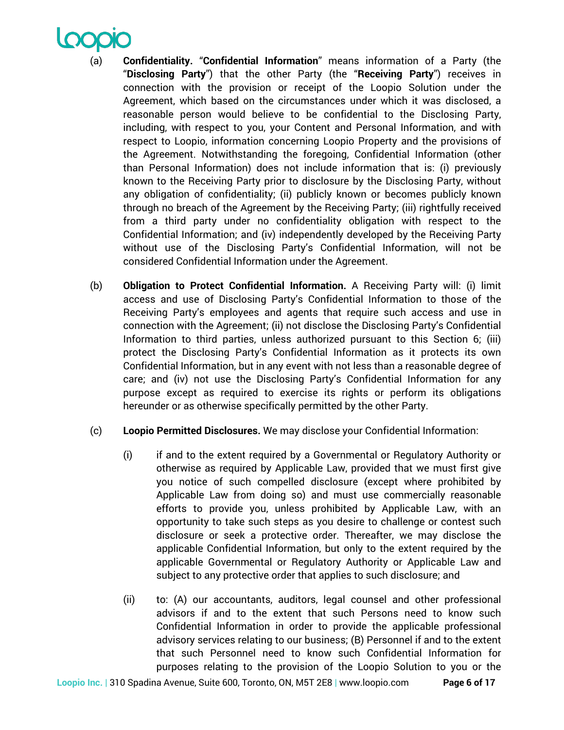- Confidentiality. "Confidential Information" means information of a Party (the "**Disclosing Party**") that the other Party (the "**Receiving Party**") receives in connection with the provision or receipt of the Loopio Solution under the Agreement, which based on the circumstances under which it was disclosed, a reasonable person would believe to be confidential to the Disclosing Party, including, with respect to you, your Content and Personal Information, and with respect to Loopio, information concerning Loopio Property and the provisions of the Agreement. Notwithstanding the foregoing, Confidential Information (other than Personal Information) does not include information that is: (i) previously known to the Receiving Party prior to disclosure by the Disclosing Party, without any obligation of confidentiality; (ii) publicly known or becomes publicly known through no breach of the Agreement by the Receiving Party; (iii) rightfully received from a third party under no confidentiality obligation with respect to the Confidential Information; and (iv) independently developed by the Receiving Party without use of the Disclosing Party's Confidential Information, will not be considered Confidential Information under the Agreement.
- (b) **Obligation to Protect Confidential Information.** A Receiving Party will: (i) limit access and use of Disclosing Party's Confidential Information to those of the Receiving Party's employees and agents that require such access and use in connection with the Agreement; (ii) not disclose the Disclosing Party's Confidential Information to third parties, unless authorized pursuant to this Section 6; (iii) protect the Disclosing Party's Confidential Information as it protects its own Confidential Information, but in any event with not less than a reasonable degree of care; and (iv) not use the Disclosing Party's Confidential Information for any purpose except as required to exercise its rights or perform its obligations hereunder or as otherwise specifically permitted by the other Party.
- (c) **Loopio Permitted Disclosures.** We may disclose your Confidential Information:
	- (i) if and to the extent required by a Governmental or Regulatory Authority or otherwise as required by Applicable Law, provided that we must first give you notice of such compelled disclosure (except where prohibited by Applicable Law from doing so) and must use commercially reasonable efforts to provide you, unless prohibited by Applicable Law, with an opportunity to take such steps as you desire to challenge or contest such disclosure or seek a protective order. Thereafter, we may disclose the applicable Confidential Information, but only to the extent required by the applicable Governmental or Regulatory Authority or Applicable Law and subject to any protective order that applies to such disclosure; and
	- (ii) to: (A) our accountants, auditors, legal counsel and other professional advisors if and to the extent that such Persons need to know such Confidential Information in order to provide the applicable professional advisory services relating to our business; (B) Personnel if and to the extent that such Personnel need to know such Confidential Information for purposes relating to the provision of the Loopio Solution to you or the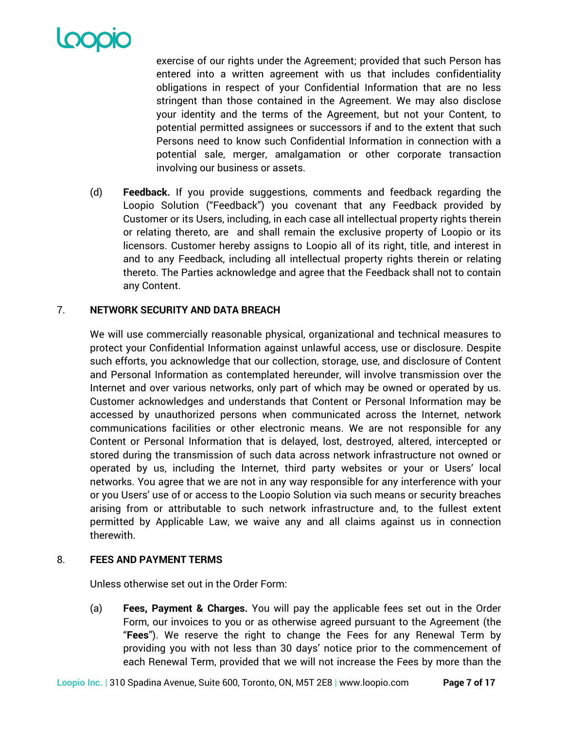

exercise of our rights under the Agreement; provided that such Person has entered into a written agreement with us that includes confidentiality obligations in respect of your Confidential Information that are no less stringent than those contained in the Agreement. We may also disclose your identity and the terms of the Agreement, but not your Content, to potential permitted assignees or successors if and to the extent that such Persons need to know such Confidential Information in connection with a potential sale, merger, amalgamation or other corporate transaction involving our business or assets.

(d) **Feedback.** If you provide suggestions, comments and feedback regarding the Loopio Solution ("Feedback") you covenant that any Feedback provided by Customer or its Users, including, in each case all intellectual property rights therein or relating thereto, are and shall remain the exclusive property of Loopio or its licensors. Customer hereby assigns to Loopio all of its right, title, and interest in and to any Feedback, including all intellectual property rights therein or relating thereto. The Parties acknowledge and agree that the Feedback shall not to contain any Content.

## 7. **NETWORK SECURITY AND DATA BREACH**

We will use commercially reasonable physical, organizational and technical measures to protect your Confidential Information against unlawful access, use or disclosure. Despite such efforts, you acknowledge that our collection, storage, use, and disclosure of Content and Personal Information as contemplated hereunder, will involve transmission over the Internet and over various networks, only part of which may be owned or operated by us. Customer acknowledges and understands that Content or Personal Information may be accessed by unauthorized persons when communicated across the Internet, network communications facilities or other electronic means. We are not responsible for any Content or Personal Information that is delayed, lost, destroyed, altered, intercepted or stored during the transmission of such data across network infrastructure not owned or operated by us, including the Internet, third party websites or your or Users' local networks. You agree that we are not in any way responsible for any interference with your or you Users' use of or access to the Loopio Solution via such means or security breaches arising from or attributable to such network infrastructure and, to the fullest extent permitted by Applicable Law, we waive any and all claims against us in connection therewith.

## 8. **FEES AND PAYMENT TERMS**

Unless otherwise set out in the Order Form:

(a) **Fees, Payment & Charges.** You will pay the applicable fees set out in the Order Form, our invoices to you or as otherwise agreed pursuant to the Agreement (the "**Fees**"). We reserve the right to change the Fees for any Renewal Term by providing you with not less than 30 days' notice prior to the commencement of each Renewal Term, provided that we will not increase the Fees by more than the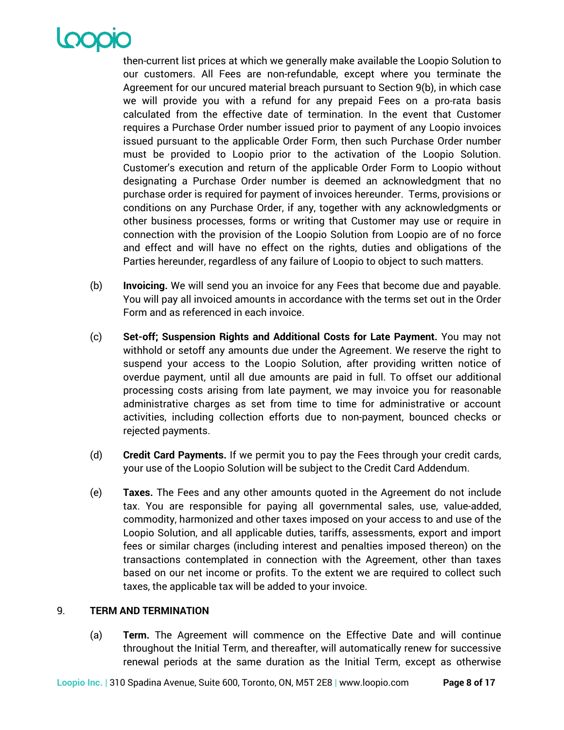

then-current list prices at which we generally make available the Loopio Solution to our customers. All Fees are non-refundable, except where you terminate the Agreement for our uncured material breach pursuant to Section 9(b), in which case we will provide you with a refund for any prepaid Fees on a pro-rata basis calculated from the effective date of termination. In the event that Customer requires a Purchase Order number issued prior to payment of any Loopio invoices issued pursuant to the applicable Order Form, then such Purchase Order number must be provided to Loopio prior to the activation of the Loopio Solution. Customer's execution and return of the applicable Order Form to Loopio without designating a Purchase Order number is deemed an acknowledgment that no purchase order is required for payment of invoices hereunder. Terms, provisions or conditions on any Purchase Order, if any, together with any acknowledgments or other business processes, forms or writing that Customer may use or require in connection with the provision of the Loopio Solution from Loopio are of no force and effect and will have no effect on the rights, duties and obligations of the Parties hereunder, regardless of any failure of Loopio to object to such matters.

- (b) **Invoicing.** We will send you an invoice for any Fees that become due and payable. You will pay all invoiced amounts in accordance with the terms set out in the Order Form and as referenced in each invoice.
- (c) **Set-off; Suspension Rights and Additional Costs for Late Payment.** You may not withhold or setoff any amounts due under the Agreement. We reserve the right to suspend your access to the Loopio Solution, after providing written notice of overdue payment, until all due amounts are paid in full. To offset our additional processing costs arising from late payment, we may invoice you for reasonable administrative charges as set from time to time for administrative or account activities, including collection efforts due to non-payment, bounced checks or rejected payments.
- (d) **Credit Card Payments.** If we permit you to pay the Fees through your credit cards, your use of the Loopio Solution will be subject to the Credit Card Addendum.
- (e) **Taxes.** The Fees and any other amounts quoted in the Agreement do not include tax. You are responsible for paying all governmental sales, use, value-added, commodity, harmonized and other taxes imposed on your access to and use of the Loopio Solution, and all applicable duties, tariffs, assessments, export and import fees or similar charges (including interest and penalties imposed thereon) on the transactions contemplated in connection with the Agreement, other than taxes based on our net income or profits. To the extent we are required to collect such taxes, the applicable tax will be added to your invoice.

## 9. **TERM AND TERMINATION**

(a) **Term.** The Agreement will commence on the Effective Date and will continue throughout the Initial Term, and thereafter, will automatically renew for successive renewal periods at the same duration as the Initial Term, except as otherwise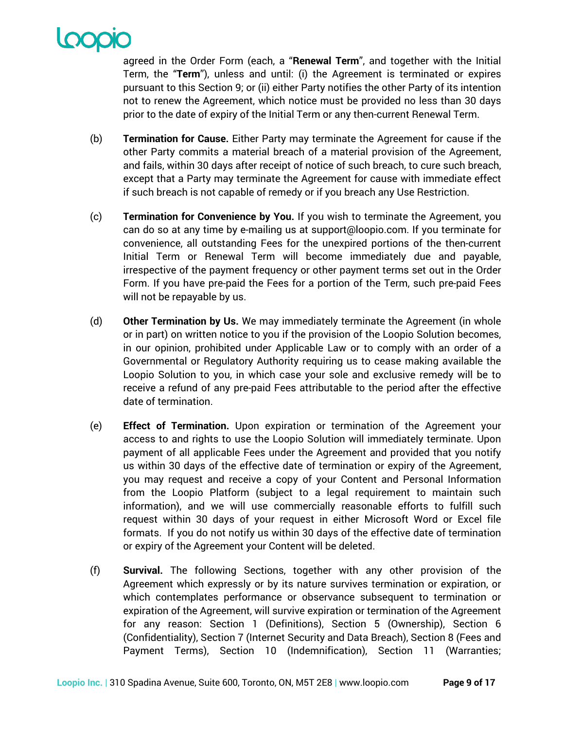agreed in the Order Form (each, a "**Renewal Term**", and together with the Initial Term, the "**Term**"), unless and until: (i) the Agreement is terminated or expires pursuant to this Section 9; or (ii) either Party notifies the other Party of its intention not to renew the Agreement, which notice must be provided no less than 30 days prior to the date of expiry of the Initial Term or any then-current Renewal Term.

- (b) **Termination for Cause.** Either Party may terminate the Agreement for cause if the other Party commits a material breach of a material provision of the Agreement, and fails, within 30 days after receipt of notice of such breach, to cure such breach, except that a Party may terminate the Agreement for cause with immediate effect if such breach is not capable of remedy or if you breach any Use Restriction.
- (c) **Termination for Convenience by You.** If you wish to terminate the Agreement, you can do so at any time by e-mailing us at support@loopio.com. If you terminate for convenience, all outstanding Fees for the unexpired portions of the then-current Initial Term or Renewal Term will become immediately due and payable, irrespective of the payment frequency or other payment terms set out in the Order Form. If you have pre-paid the Fees for a portion of the Term, such pre-paid Fees will not be repayable by us.
- (d) **Other Termination by Us.** We may immediately terminate the Agreement (in whole or in part) on written notice to you if the provision of the Loopio Solution becomes, in our opinion, prohibited under Applicable Law or to comply with an order of a Governmental or Regulatory Authority requiring us to cease making available the Loopio Solution to you, in which case your sole and exclusive remedy will be to receive a refund of any pre-paid Fees attributable to the period after the effective date of termination.
- (e) **Effect of Termination.** Upon expiration or termination of the Agreement your access to and rights to use the Loopio Solution will immediately terminate. Upon payment of all applicable Fees under the Agreement and provided that you notify us within 30 days of the effective date of termination or expiry of the Agreement, you may request and receive a copy of your Content and Personal Information from the Loopio Platform (subject to a legal requirement to maintain such information), and we will use commercially reasonable efforts to fulfill such request within 30 days of your request in either Microsoft Word or Excel file formats. If you do not notify us within 30 days of the effective date of termination or expiry of the Agreement your Content will be deleted.
- (f) **Survival.** The following Sections, together with any other provision of the Agreement which expressly or by its nature survives termination or expiration, or which contemplates performance or observance subsequent to termination or expiration of the Agreement, will survive expiration or termination of the Agreement for any reason: Section 1 (Definitions), Section 5 (Ownership), Section 6 (Confidentiality), Section 7 (Internet Security and Data Breach), Section 8 (Fees and Payment Terms), Section 10 (Indemnification), Section 11 (Warranties;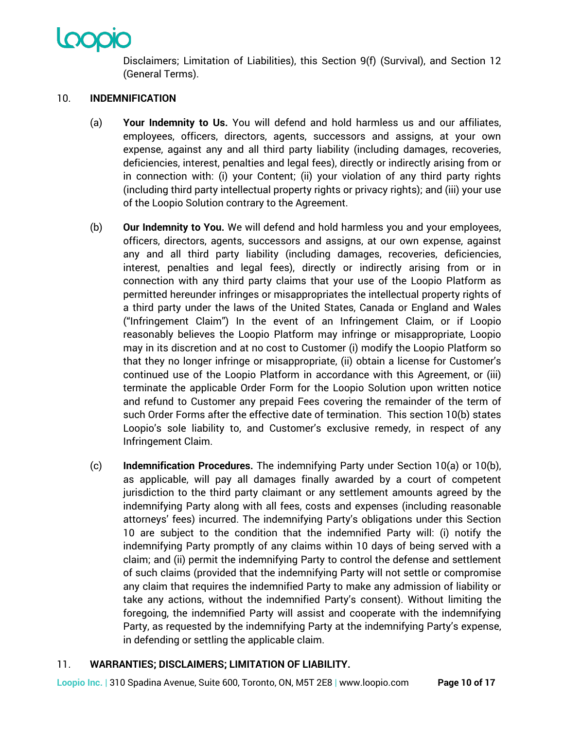Disclaimers; Limitation of Liabilities), this Section 9(f) (Survival), and Section 12 (General Terms).

# 10. **INDEMNIFICATION**

- (a) **Your Indemnity to Us.** You will defend and hold harmless us and our affiliates, employees, officers, directors, agents, successors and assigns, at your own expense, against any and all third party liability (including damages, recoveries, deficiencies, interest, penalties and legal fees), directly or indirectly arising from or in connection with: (i) your Content; (ii) your violation of any third party rights (including third party intellectual property rights or privacy rights); and (iii) your use of the Loopio Solution contrary to the Agreement.
- (b) **Our Indemnity to You.** We will defend and hold harmless you and your employees, officers, directors, agents, successors and assigns, at our own expense, against any and all third party liability (including damages, recoveries, deficiencies, interest, penalties and legal fees), directly or indirectly arising from or in connection with any third party claims that your use of the Loopio Platform as permitted hereunder infringes or misappropriates the intellectual property rights of a third party under the laws of the United States, Canada or England and Wales ("Infringement Claim") In the event of an Infringement Claim, or if Loopio reasonably believes the Loopio Platform may infringe or misappropriate, Loopio may in its discretion and at no cost to Customer (i) modify the Loopio Platform so that they no longer infringe or misappropriate, (ii) obtain a license for Customer's continued use of the Loopio Platform in accordance with this Agreement, or (iii) terminate the applicable Order Form for the Loopio Solution upon written notice and refund to Customer any prepaid Fees covering the remainder of the term of such Order Forms after the effective date of termination. This section 10(b) states Loopio's sole liability to, and Customer's exclusive remedy, in respect of any Infringement Claim.
- (c) **Indemnification Procedures.** The indemnifying Party under Section 10(a) or 10(b), as applicable, will pay all damages finally awarded by a court of competent jurisdiction to the third party claimant or any settlement amounts agreed by the indemnifying Party along with all fees, costs and expenses (including reasonable attorneys' fees) incurred. The indemnifying Party's obligations under this Section 10 are subject to the condition that the indemnified Party will: (i) notify the indemnifying Party promptly of any claims within 10 days of being served with a claim; and (ii) permit the indemnifying Party to control the defense and settlement of such claims (provided that the indemnifying Party will not settle or compromise any claim that requires the indemnified Party to make any admission of liability or take any actions, without the indemnified Party's consent). Without limiting the foregoing, the indemnified Party will assist and cooperate with the indemnifying Party, as requested by the indemnifying Party at the indemnifying Party's expense, in defending or settling the applicable claim.

# 11. **WARRANTIES; DISCLAIMERS; LIMITATION OF LIABILITY.**

**Loopio Inc. |** 310 Spadina Avenue, Suite 600, Toronto, ON, M5T 2E8 **|** www.loopio.com **Page 10 of 17**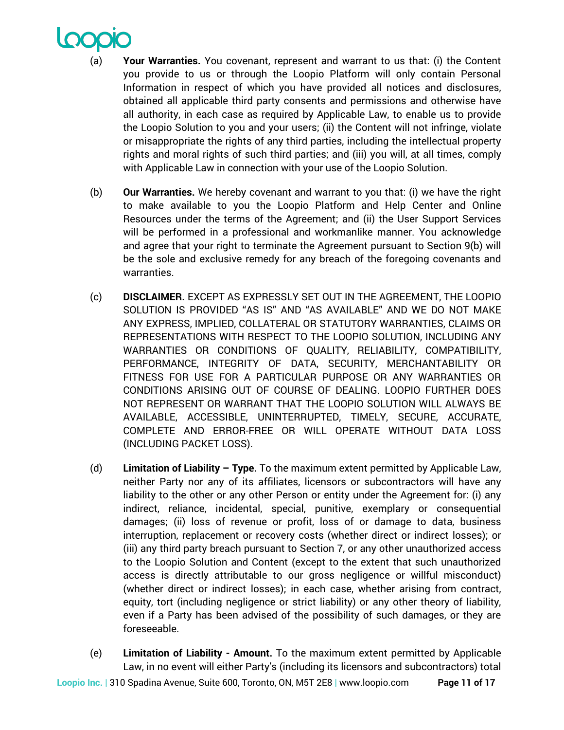

- (a) **Your Warranties.** You covenant, represent and warrant to us that: (i) the Content you provide to us or through the Loopio Platform will only contain Personal Information in respect of which you have provided all notices and disclosures, obtained all applicable third party consents and permissions and otherwise have all authority, in each case as required by Applicable Law, to enable us to provide the Loopio Solution to you and your users; (ii) the Content will not infringe, violate or misappropriate the rights of any third parties, including the intellectual property rights and moral rights of such third parties; and (iii) you will, at all times, comply with Applicable Law in connection with your use of the Loopio Solution.
- (b) **Our Warranties.** We hereby covenant and warrant to you that: (i) we have the right to make available to you the Loopio Platform and Help Center and Online Resources under the terms of the Agreement; and (ii) the User Support Services will be performed in a professional and workmanlike manner. You acknowledge and agree that your right to terminate the Agreement pursuant to Section 9(b) will be the sole and exclusive remedy for any breach of the foregoing covenants and warranties.
- (c) **DISCLAIMER.** EXCEPT AS EXPRESSLY SET OUT IN THE AGREEMENT, THE LOOPIO SOLUTION IS PROVIDED "AS IS" AND "AS AVAILABLE" AND WE DO NOT MAKE ANY EXPRESS, IMPLIED, COLLATERAL OR STATUTORY WARRANTIES, CLAIMS OR REPRESENTATIONS WITH RESPECT TO THE LOOPIO SOLUTION, INCLUDING ANY WARRANTIES OR CONDITIONS OF QUALITY, RELIABILITY, COMPATIBILITY, PERFORMANCE, INTEGRITY OF DATA, SECURITY, MERCHANTABILITY OR FITNESS FOR USE FOR A PARTICULAR PURPOSE OR ANY WARRANTIES OR CONDITIONS ARISING OUT OF COURSE OF DEALING. LOOPIO FURTHER DOES NOT REPRESENT OR WARRANT THAT THE LOOPIO SOLUTION WILL ALWAYS BE AVAILABLE, ACCESSIBLE, UNINTERRUPTED, TIMELY, SECURE, ACCURATE, COMPLETE AND ERROR-FREE OR WILL OPERATE WITHOUT DATA LOSS (INCLUDING PACKET LOSS).
- (d) **Limitation of Liability – Type.** To the maximum extent permitted by Applicable Law, neither Party nor any of its affiliates, licensors or subcontractors will have any liability to the other or any other Person or entity under the Agreement for: (i) any indirect, reliance, incidental, special, punitive, exemplary or consequential damages; (ii) loss of revenue or profit, loss of or damage to data, business interruption, replacement or recovery costs (whether direct or indirect losses); or (iii) any third party breach pursuant to Section 7, or any other unauthorized access to the Loopio Solution and Content (except to the extent that such unauthorized access is directly attributable to our gross negligence or willful misconduct) (whether direct or indirect losses); in each case, whether arising from contract, equity, tort (including negligence or strict liability) or any other theory of liability, even if a Party has been advised of the possibility of such damages, or they are foreseeable.
- (e) **Limitation of Liability - Amount.** To the maximum extent permitted by Applicable Law, in no event will either Party's (including its licensors and subcontractors) total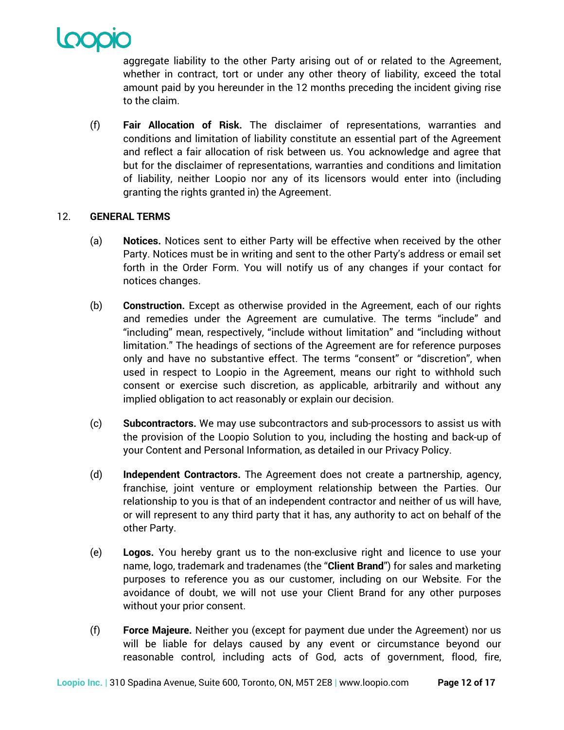

aggregate liability to the other Party arising out of or related to the Agreement, whether in contract, tort or under any other theory of liability, exceed the total amount paid by you hereunder in the 12 months preceding the incident giving rise to the claim.

(f) **Fair Allocation of Risk.** The disclaimer of representations, warranties and conditions and limitation of liability constitute an essential part of the Agreement and reflect a fair allocation of risk between us. You acknowledge and agree that but for the disclaimer of representations, warranties and conditions and limitation of liability, neither Loopio nor any of its licensors would enter into (including granting the rights granted in) the Agreement.

# 12. **GENERAL TERMS**

- (a) **Notices.** Notices sent to either Party will be effective when received by the other Party. Notices must be in writing and sent to the other Party's address or email set forth in the Order Form. You will notify us of any changes if your contact for notices changes.
- (b) **Construction.** Except as otherwise provided in the Agreement, each of our rights and remedies under the Agreement are cumulative. The terms "include" and "including" mean, respectively, "include without limitation" and "including without limitation." The headings of sections of the Agreement are for reference purposes only and have no substantive effect. The terms "consent" or "discretion", when used in respect to Loopio in the Agreement, means our right to withhold such consent or exercise such discretion, as applicable, arbitrarily and without any implied obligation to act reasonably or explain our decision.
- (c) **Subcontractors.** We may use subcontractors and sub-processors to assist us with the provision of the Loopio Solution to you, including the hosting and back-up of your Content and Personal Information, as detailed in our Privacy Policy.
- (d) **Independent Contractors.** The Agreement does not create a partnership, agency, franchise, joint venture or employment relationship between the Parties. Our relationship to you is that of an independent contractor and neither of us will have, or will represent to any third party that it has, any authority to act on behalf of the other Party.
- (e) **Logos.** You hereby grant us to the non-exclusive right and licence to use your name, logo, trademark and tradenames (the "**Client Brand**") for sales and marketing purposes to reference you as our customer, including on our Website. For the avoidance of doubt, we will not use your Client Brand for any other purposes without your prior consent.
- (f) **Force Majeure.** Neither you (except for payment due under the Agreement) nor us will be liable for delays caused by any event or circumstance beyond our reasonable control, including acts of God, acts of government, flood, fire,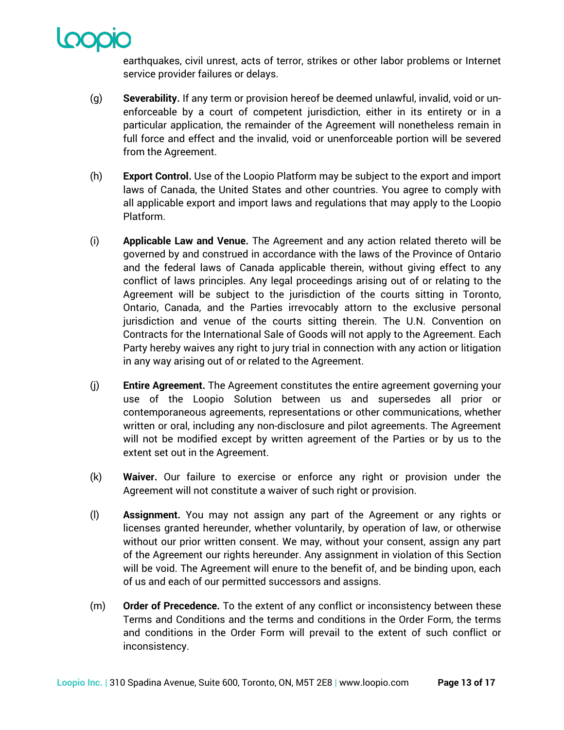

earthquakes, civil unrest, acts of terror, strikes or other labor problems or Internet service provider failures or delays.

- (g) **Severability.** If any term or provision hereof be deemed unlawful, invalid, void or unenforceable by a court of competent jurisdiction, either in its entirety or in a particular application, the remainder of the Agreement will nonetheless remain in full force and effect and the invalid, void or unenforceable portion will be severed from the Agreement.
- (h) **Export Control.** Use of the Loopio Platform may be subject to the export and import laws of Canada, the United States and other countries. You agree to comply with all applicable export and import laws and regulations that may apply to the Loopio Platform.
- (i) **Applicable Law and Venue.** The Agreement and any action related thereto will be governed by and construed in accordance with the laws of the Province of Ontario and the federal laws of Canada applicable therein, without giving effect to any conflict of laws principles. Any legal proceedings arising out of or relating to the Agreement will be subject to the jurisdiction of the courts sitting in Toronto, Ontario, Canada, and the Parties irrevocably attorn to the exclusive personal jurisdiction and venue of the courts sitting therein. The U.N. Convention on Contracts for the International Sale of Goods will not apply to the Agreement. Each Party hereby waives any right to jury trial in connection with any action or litigation in any way arising out of or related to the Agreement.
- (j) **Entire Agreement.** The Agreement constitutes the entire agreement governing your use of the Loopio Solution between us and supersedes all prior or contemporaneous agreements, representations or other communications, whether written or oral, including any non-disclosure and pilot agreements. The Agreement will not be modified except by written agreement of the Parties or by us to the extent set out in the Agreement.
- (k) **Waiver.** Our failure to exercise or enforce any right or provision under the Agreement will not constitute a waiver of such right or provision.
- (l) **Assignment.** You may not assign any part of the Agreement or any rights or licenses granted hereunder, whether voluntarily, by operation of law, or otherwise without our prior written consent. We may, without your consent, assign any part of the Agreement our rights hereunder. Any assignment in violation of this Section will be void. The Agreement will enure to the benefit of, and be binding upon, each of us and each of our permitted successors and assigns.
- (m) **Order of Precedence.** To the extent of any conflict or inconsistency between these Terms and Conditions and the terms and conditions in the Order Form, the terms and conditions in the Order Form will prevail to the extent of such conflict or inconsistency.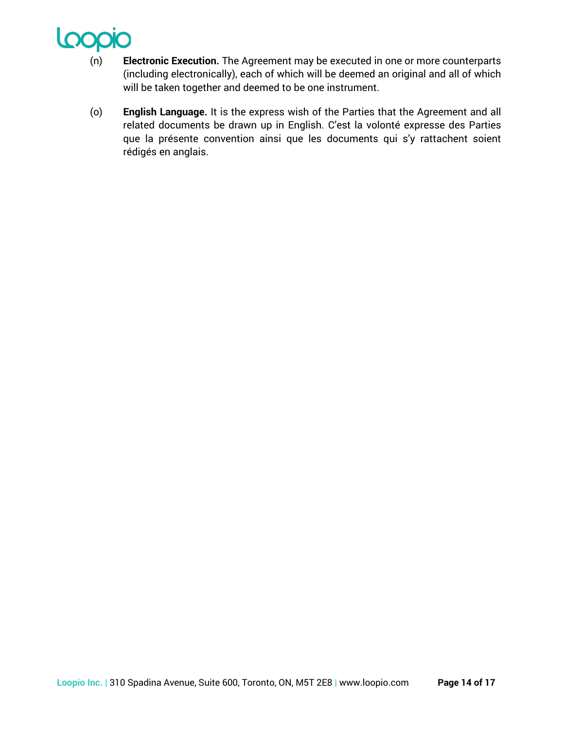

- (n) **Electronic Execution.** The Agreement may be executed in one or more counterparts (including electronically), each of which will be deemed an original and all of which will be taken together and deemed to be one instrument.
- (o) **English Language.** It is the express wish of the Parties that the Agreement and all related documents be drawn up in English. C'est la volonté expresse des Parties que la présente convention ainsi que les documents qui s'y rattachent soient rédigés en anglais.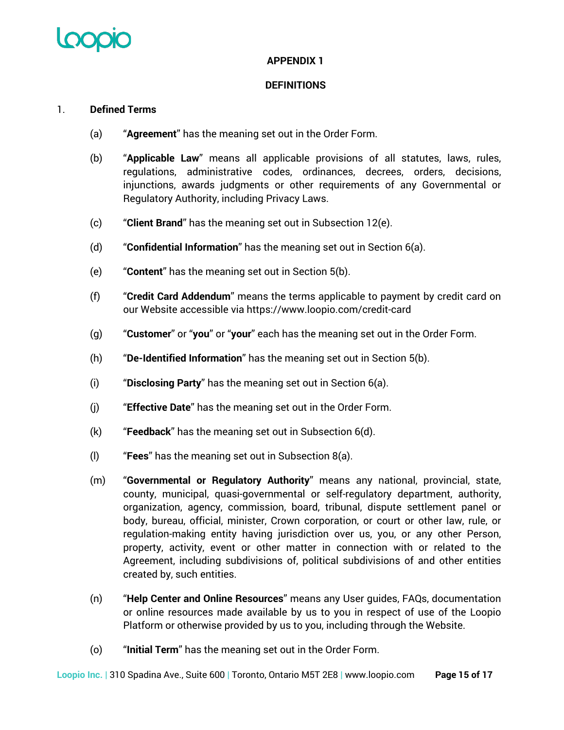

# **APPENDIX 1**

## **DEFINITIONS**

## 1. **Defined Terms**

- (a) "**Agreement**" has the meaning set out in the Order Form.
- (b) "**Applicable Law**" means all applicable provisions of all statutes, laws, rules, regulations, administrative codes, ordinances, decrees, orders, decisions, injunctions, awards judgments or other requirements of any Governmental or Regulatory Authority, including Privacy Laws.
- (c) "**Client Brand**" has the meaning set out in Subsection 12(e).
- (d) "**Confidential Information**" has the meaning set out in Section 6(a).
- (e) "**Content**" has the meaning set out in Section 5(b).
- (f) "**Credit Card Addendum**" means the terms applicable to payment by credit card on our Website accessible via https://www.loopio.com/credit-card
- (g) "**Customer**" or "**you**" or "**your**" each has the meaning set out in the Order Form.
- (h) "**De-Identified Information**" has the meaning set out in Section 5(b).
- (i) "**Disclosing Party**" has the meaning set out in Section 6(a).
- (j) "**Effective Date**" has the meaning set out in the Order Form.
- (k) "**Feedback**" has the meaning set out in Subsection 6(d).
- (l) "**Fees**" has the meaning set out in Subsection 8(a).
- (m) "**Governmental or Regulatory Authority**" means any national, provincial, state, county, municipal, quasi-governmental or self-regulatory department, authority, organization, agency, commission, board, tribunal, dispute settlement panel or body, bureau, official, minister, Crown corporation, or court or other law, rule, or regulation-making entity having jurisdiction over us, you, or any other Person, property, activity, event or other matter in connection with or related to the Agreement, including subdivisions of, political subdivisions of and other entities created by, such entities.
- (n) "**Help Center and Online Resources**" means any User guides, FAQs, documentation or online resources made available by us to you in respect of use of the Loopio Platform or otherwise provided by us to you, including through the Website.
- (o) "**Initial Term**" has the meaning set out in the Order Form.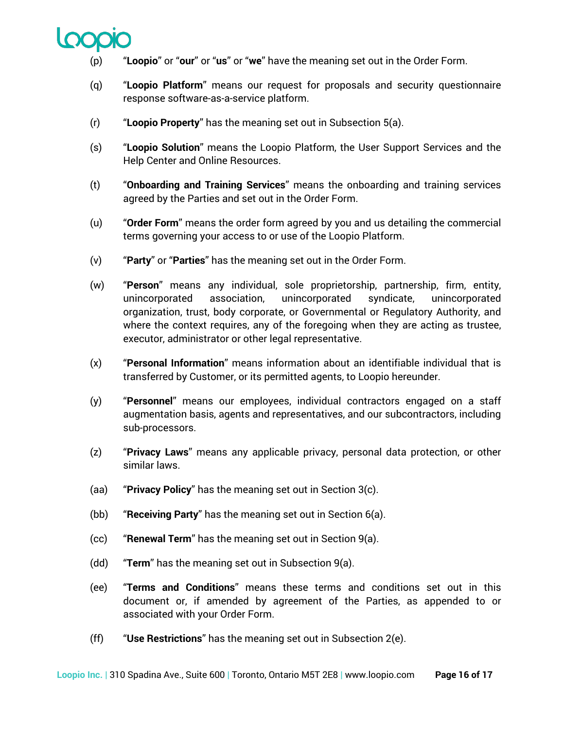

- (p) "**Loopio**" or "**our**" or "**us**" or "**we**" have the meaning set out in the Order Form.
- (q) "**Loopio Platform**" means our request for proposals and security questionnaire response software-as-a-service platform.
- (r) "**Loopio Property**" has the meaning set out in Subsection 5(a).
- (s) "**Loopio Solution**" means the Loopio Platform, the User Support Services and the Help Center and Online Resources.
- (t) "**Onboarding and Training Services**" means the onboarding and training services agreed by the Parties and set out in the Order Form.
- (u) "**Order Form**" means the order form agreed by you and us detailing the commercial terms governing your access to or use of the Loopio Platform.
- (v) "**Party**" or "**Parties**" has the meaning set out in the Order Form.
- (w) "**Person**" means any individual, sole proprietorship, partnership, firm, entity, unincorporated association, unincorporated syndicate, unincorporated organization, trust, body corporate, or Governmental or Regulatory Authority, and where the context requires, any of the foregoing when they are acting as trustee, executor, administrator or other legal representative.
- (x) "**Personal Information**" means information about an identifiable individual that is transferred by Customer, or its permitted agents, to Loopio hereunder.
- (y) "**Personnel**" means our employees, individual contractors engaged on a staff augmentation basis, agents and representatives, and our subcontractors, including sub-processors.
- (z) "**Privacy Laws**" means any applicable privacy, personal data protection, or other similar laws.
- (aa) "**Privacy Policy**" has the meaning set out in Section 3(c).
- (bb) "**Receiving Party**" has the meaning set out in Section 6(a).
- (cc) "**Renewal Term**" has the meaning set out in Section 9(a).
- (dd) "**Term**" has the meaning set out in Subsection 9(a).
- (ee) "**Terms and Conditions**" means these terms and conditions set out in this document or, if amended by agreement of the Parties, as appended to or associated with your Order Form.
- (ff) "**Use Restrictions**" has the meaning set out in Subsection 2(e).